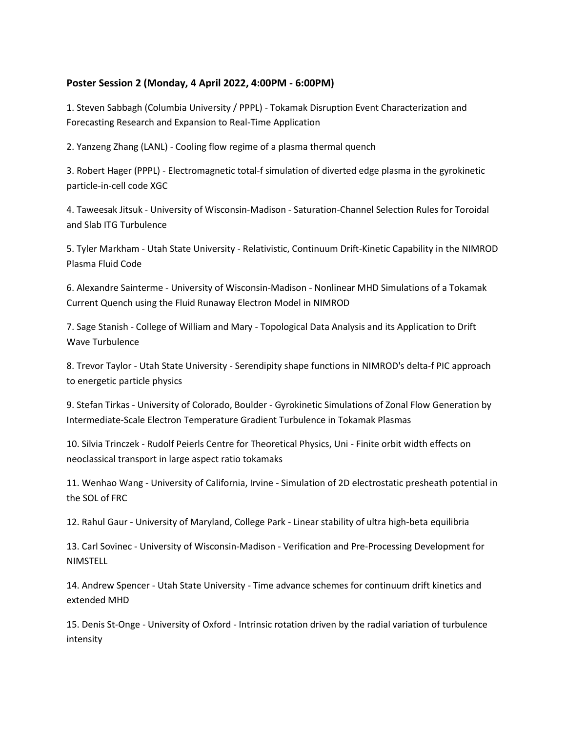## **Poster Session 2 (Monday, 4 April 2022, 4:00PM - 6:00PM)**

1. Steven Sabbagh (Columbia University / PPPL) - Tokamak Disruption Event Characterization and Forecasting Research and Expansion to Real-Time Application

2. Yanzeng Zhang (LANL) - Cooling flow regime of a plasma thermal quench

3. Robert Hager (PPPL) - Electromagnetic total-f simulation of diverted edge plasma in the gyrokinetic particle-in-cell code XGC

4. Taweesak Jitsuk - University of Wisconsin-Madison - Saturation-Channel Selection Rules for Toroidal and Slab ITG Turbulence

5. Tyler Markham - Utah State University - Relativistic, Continuum Drift-Kinetic Capability in the NIMROD Plasma Fluid Code

6. Alexandre Sainterme - University of Wisconsin-Madison - Nonlinear MHD Simulations of a Tokamak Current Quench using the Fluid Runaway Electron Model in NIMROD

7. Sage Stanish - College of William and Mary - Topological Data Analysis and its Application to Drift Wave Turbulence

8. Trevor Taylor - Utah State University - Serendipity shape functions in NIMROD's delta-f PIC approach to energetic particle physics

9. Stefan Tirkas - University of Colorado, Boulder - Gyrokinetic Simulations of Zonal Flow Generation by Intermediate-Scale Electron Temperature Gradient Turbulence in Tokamak Plasmas

10. Silvia Trinczek - Rudolf Peierls Centre for Theoretical Physics, Uni - Finite orbit width effects on neoclassical transport in large aspect ratio tokamaks

11. Wenhao Wang - University of California, Irvine - Simulation of 2D electrostatic presheath potential in the SOL of FRC

12. Rahul Gaur - University of Maryland, College Park - Linear stability of ultra high-beta equilibria

13. Carl Sovinec - University of Wisconsin-Madison - Verification and Pre-Processing Development for NIMSTELL

14. Andrew Spencer - Utah State University - Time advance schemes for continuum drift kinetics and extended MHD

15. Denis St-Onge - University of Oxford - Intrinsic rotation driven by the radial variation of turbulence intensity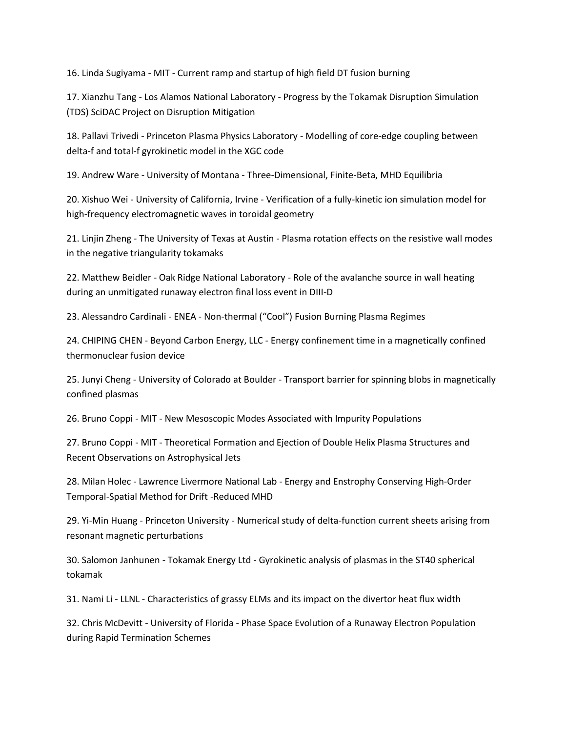16. Linda Sugiyama - MIT - Current ramp and startup of high field DT fusion burning

17. Xianzhu Tang - Los Alamos National Laboratory - Progress by the Tokamak Disruption Simulation (TDS) SciDAC Project on Disruption Mitigation

18. Pallavi Trivedi - Princeton Plasma Physics Laboratory - Modelling of core-edge coupling between delta-f and total-f gyrokinetic model in the XGC code

19. Andrew Ware - University of Montana - Three-Dimensional, Finite-Beta, MHD Equilibria

20. Xishuo Wei - University of California, Irvine - Verification of a fully-kinetic ion simulation model for high-frequency electromagnetic waves in toroidal geometry

21. Linjin Zheng - The University of Texas at Austin - Plasma rotation effects on the resistive wall modes in the negative triangularity tokamaks

22. Matthew Beidler - Oak Ridge National Laboratory - Role of the avalanche source in wall heating during an unmitigated runaway electron final loss event in DIII-D

23. Alessandro Cardinali - ENEA - Non-thermal ("Cool") Fusion Burning Plasma Regimes

24. CHIPING CHEN - Beyond Carbon Energy, LLC - Energy confinement time in a magnetically confined thermonuclear fusion device

25. Junyi Cheng - University of Colorado at Boulder - Transport barrier for spinning blobs in magnetically confined plasmas

26. Bruno Coppi - MIT - New Mesoscopic Modes Associated with Impurity Populations

27. Bruno Coppi - MIT - Theoretical Formation and Ejection of Double Helix Plasma Structures and Recent Observations on Astrophysical Jets

28. Milan Holec - Lawrence Livermore National Lab - Energy and Enstrophy Conserving High-Order Temporal-Spatial Method for Drift -Reduced MHD

29. Yi-Min Huang - Princeton University - Numerical study of delta-function current sheets arising from resonant magnetic perturbations

30. Salomon Janhunen - Tokamak Energy Ltd - Gyrokinetic analysis of plasmas in the ST40 spherical tokamak

31. Nami Li - LLNL - Characteristics of grassy ELMs and its impact on the divertor heat flux width

32. Chris McDevitt - University of Florida - Phase Space Evolution of a Runaway Electron Population during Rapid Termination Schemes